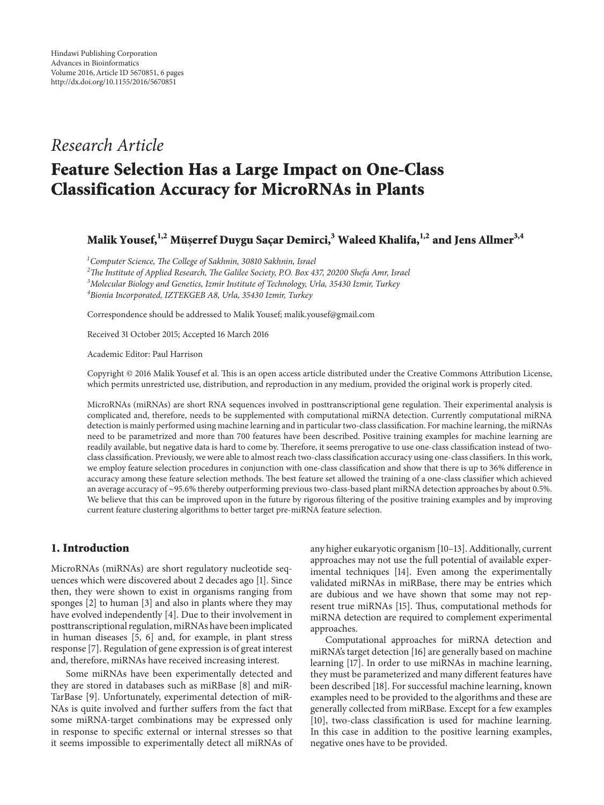## *Research Article*

# **Feature Selection Has a Large Impact on One-Class Classification Accuracy for MicroRNAs in Plants**

### **Malik Yousef,**<sup>1,2</sup> **Müserref Duygu Sacar Demirci,**<sup>3</sup> Waleed Khalifa,<sup>1,2</sup> and Jens Allmer<sup>3,4</sup>

 *Computer Science, The College of Sakhnin, 30810 Sakhnin, Israel The Institute of Applied Research, The Galilee Society, P.O. Box 437, 20200 Shefa Amr, Israel Molecular Biology and Genetics, Izmir Institute of Technology, Urla, 35430 Izmir, Turkey Bionia Incorporated, IZTEKGEB A8, Urla, 35430 Izmir, Turkey*

Correspondence should be addressed to Malik Yousef; malik.yousef@gmail.com

Received 31 October 2015; Accepted 16 March 2016

Academic Editor: Paul Harrison

Copyright © 2016 Malik Yousef et al. This is an open access article distributed under the Creative Commons Attribution License, which permits unrestricted use, distribution, and reproduction in any medium, provided the original work is properly cited.

MicroRNAs (miRNAs) are short RNA sequences involved in posttranscriptional gene regulation. Their experimental analysis is complicated and, therefore, needs to be supplemented with computational miRNA detection. Currently computational miRNA detection is mainly performed using machine learning and in particular two-class classification. For machine learning, the miRNAs need to be parametrized and more than 700 features have been described. Positive training examples for machine learning are readily available, but negative data is hard to come by. Therefore, it seems prerogative to use one-class classification instead of twoclass classification. Previously, we were able to almost reach two-class classification accuracy using one-class classifiers. In this work, we employ feature selection procedures in conjunction with one-class classification and show that there is up to 36% difference in accuracy among these feature selection methods. The best feature set allowed the training of a one-class classifier which achieved an average accuracy of ∼95.6% thereby outperforming previous two-class-based plant miRNA detection approaches by about 0.5%. We believe that this can be improved upon in the future by rigorous filtering of the positive training examples and by improving current feature clustering algorithms to better target pre-miRNA feature selection.

#### **1. Introduction**

MicroRNAs (miRNAs) are short regulatory nucleotide sequences which were discovered about 2 decades ago [1]. Since then, they were shown to exist in organisms ranging from sponges [2] to human [3] and also in plants where they may have evolved independently [4]. Due to their involvement in posttranscriptional regulation, miRNAs have been implicated in human diseases [5, 6] and, for example, in plant stress response [7]. Regulation of gene expression is of great interest and, therefore, miRNAs have received increasing interest.

Some miRNAs have been experimentally detected and they are stored in databases such as miRBase [8] and miR-TarBase [9]. Unfortunately, experimental detection of miR-NAs is quite involved and further suffers from the fact that some miRNA-target combinations may be expressed only in response to specific external or internal stresses so that it seems impossible to experimentally detect all miRNAs of any higher eukaryotic organism [10–13]. Additionally, current approaches may not use the full potential of available experimental techniques [14]. Even among the experimentally validated miRNAs in miRBase, there may be entries which are dubious and we have shown that some may not represent true miRNAs [15]. Thus, computational methods for miRNA detection are required to complement experimental approaches.

Computational approaches for miRNA detection and miRNA's target detection [16] are generally based on machine learning [17]. In order to use miRNAs in machine learning, they must be parameterized and many different features have been described [18]. For successful machine learning, known examples need to be provided to the algorithms and these are generally collected from miRBase. Except for a few examples [10], two-class classification is used for machine learning. In this case in addition to the positive learning examples, negative ones have to be provided.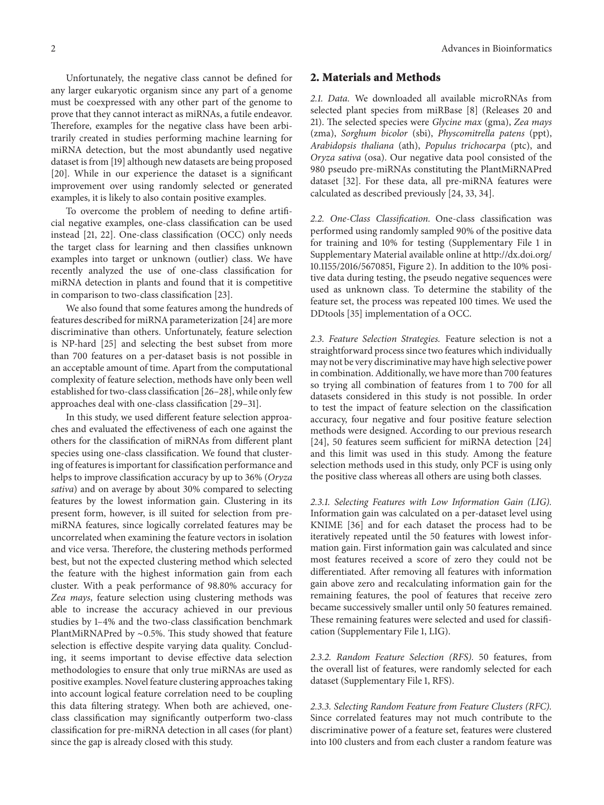Unfortunately, the negative class cannot be defined for any larger eukaryotic organism since any part of a genome must be coexpressed with any other part of the genome to prove that they cannot interact as miRNAs, a futile endeavor. Therefore, examples for the negative class have been arbitrarily created in studies performing machine learning for miRNA detection, but the most abundantly used negative dataset is from [19] although new datasets are being proposed [20]. While in our experience the dataset is a significant improvement over using randomly selected or generated examples, it is likely to also contain positive examples.

To overcome the problem of needing to define artificial negative examples, one-class classification can be used instead [21, 22]. One-class classification (OCC) only needs the target class for learning and then classifies unknown examples into target or unknown (outlier) class. We have recently analyzed the use of one-class classification for miRNA detection in plants and found that it is competitive in comparison to two-class classification [23].

We also found that some features among the hundreds of features described for miRNA parameterization [24] are more discriminative than others. Unfortunately, feature selection is NP-hard [25] and selecting the best subset from more than 700 features on a per-dataset basis is not possible in an acceptable amount of time. Apart from the computational complexity of feature selection, methods have only been well established for two-class classification [26–28], while only few approaches deal with one-class classification [29–31].

In this study, we used different feature selection approaches and evaluated the effectiveness of each one against the others for the classification of miRNAs from different plant species using one-class classification. We found that clustering of features is important for classification performance and helps to improve classification accuracy by up to 36% (*Oryza sativa*) and on average by about 30% compared to selecting features by the lowest information gain. Clustering in its present form, however, is ill suited for selection from premiRNA features, since logically correlated features may be uncorrelated when examining the feature vectors in isolation and vice versa. Therefore, the clustering methods performed best, but not the expected clustering method which selected the feature with the highest information gain from each cluster. With a peak performance of 98.80% accuracy for *Zea mays*, feature selection using clustering methods was able to increase the accuracy achieved in our previous studies by 1–4% and the two-class classification benchmark PlantMiRNAPred by ∼0.5%. This study showed that feature selection is effective despite varying data quality. Concluding, it seems important to devise effective data selection methodologies to ensure that only true miRNAs are used as positive examples. Novel feature clustering approaches taking into account logical feature correlation need to be coupling this data filtering strategy. When both are achieved, oneclass classification may significantly outperform two-class classification for pre-miRNA detection in all cases (for plant) since the gap is already closed with this study.

**2. Materials and Methods**

*2.1. Data.* We downloaded all available microRNAs from selected plant species from miRBase [8] (Releases 20 and 21). The selected species were *Glycine max* (gma), *Zea mays* (zma), *Sorghum bicolor* (sbi), *Physcomitrella patens* (ppt), *Arabidopsis thaliana* (ath), *Populus trichocarpa* (ptc), and *Oryza sativa* (osa). Our negative data pool consisted of the 980 pseudo pre-miRNAs constituting the PlantMiRNAPred dataset [32]. For these data, all pre-miRNA features were calculated as described previously [24, 33, 34].

*2.2. One-Class Classification.* One-class classification was performed using randomly sampled 90% of the positive data for training and 10% for testing (Supplementary File 1 in Supplementary Material available online at http://dx.doi.org/ 10.1155/2016/5670851, Figure 2). In addition to the 10% positive data during testing, the pseudo negative sequences were used as unknown class. To determine the stability of the feature set, the process was repeated 100 times. We used the DDtools [35] implementation of a OCC.

*2.3. Feature Selection Strategies.* Feature selection is not a straightforward process since two features which individually may not be very discriminative may have high selective power in combination. Additionally, we have more than 700 features so trying all combination of features from 1 to 700 for all datasets considered in this study is not possible. In order to test the impact of feature selection on the classification accuracy, four negative and four positive feature selection methods were designed. According to our previous research [24], 50 features seem sufficient for miRNA detection [24] and this limit was used in this study. Among the feature selection methods used in this study, only PCF is using only the positive class whereas all others are using both classes.

*2.3.1. Selecting Features with Low Information Gain (LIG).* Information gain was calculated on a per-dataset level using KNIME [36] and for each dataset the process had to be iteratively repeated until the 50 features with lowest information gain. First information gain was calculated and since most features received a score of zero they could not be differentiated. After removing all features with information gain above zero and recalculating information gain for the remaining features, the pool of features that receive zero became successively smaller until only 50 features remained. These remaining features were selected and used for classification (Supplementary File 1, LIG).

*2.3.2. Random Feature Selection (RFS).* 50 features, from the overall list of features, were randomly selected for each dataset (Supplementary File 1, RFS).

*2.3.3. Selecting Random Feature from Feature Clusters (RFC).* Since correlated features may not much contribute to the discriminative power of a feature set, features were clustered into 100 clusters and from each cluster a random feature was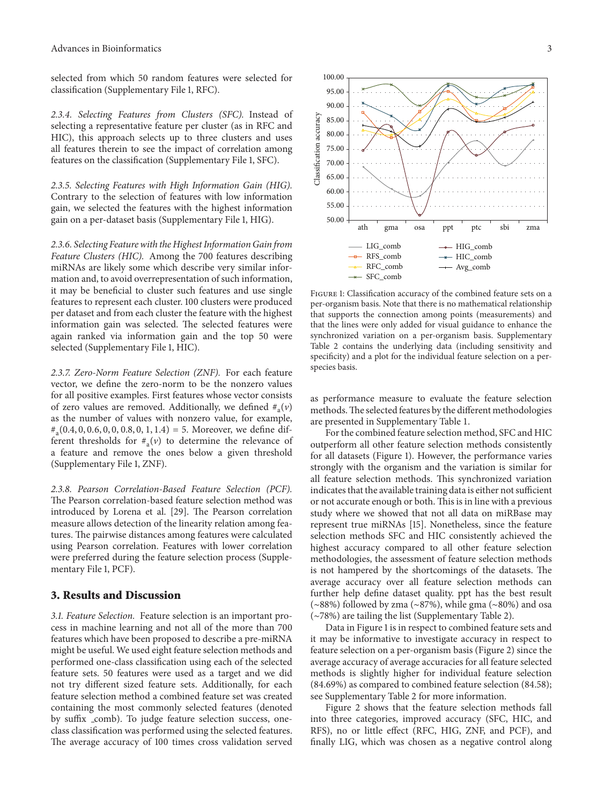selected from which 50 random features were selected for classification (Supplementary File 1, RFC).

*2.3.4. Selecting Features from Clusters (SFC).* Instead of selecting a representative feature per cluster (as in RFC and HIC), this approach selects up to three clusters and uses all features therein to see the impact of correlation among features on the classification (Supplementary File 1, SFC).

*2.3.5. Selecting Features with High Information Gain (HIG).* Contrary to the selection of features with low information gain, we selected the features with the highest information gain on a per-dataset basis (Supplementary File 1, HIG).

*2.3.6. Selecting Feature with the Highest Information Gain from Feature Clusters (HIC).* Among the 700 features describing miRNAs are likely some which describe very similar information and, to avoid overrepresentation of such information, it may be beneficial to cluster such features and use single features to represent each cluster. 100 clusters were produced per dataset and from each cluster the feature with the highest information gain was selected. The selected features were again ranked via information gain and the top 50 were selected (Supplementary File 1, HIC).

*2.3.7. Zero-Norm Feature Selection (ZNF).* For each feature vector, we define the zero-norm to be the nonzero values for all positive examples. First features whose vector consists of zero values are removed. Additionally, we defined  $\#_{a}(v)$ as the number of values with nonzero value, for example,  $\#_{a}(0.4, 0, 0.6, 0, 0, 0.8, 0, 1, 1.4) = 5$ . Moreover, we define different thresholds for  $\#_{a}(v)$  to determine the relevance of a feature and remove the ones below a given threshold (Supplementary File 1, ZNF).

*2.3.8. Pearson Correlation-Based Feature Selection (PCF).* The Pearson correlation-based feature selection method was introduced by Lorena et al. [29]. The Pearson correlation measure allows detection of the linearity relation among features. The pairwise distances among features were calculated using Pearson correlation. Features with lower correlation were preferred during the feature selection process (Supplementary File 1, PCF).

#### **3. Results and Discussion**

*3.1. Feature Selection.* Feature selection is an important process in machine learning and not all of the more than 700 features which have been proposed to describe a pre-miRNA might be useful. We used eight feature selection methods and performed one-class classification using each of the selected feature sets. 50 features were used as a target and we did not try different sized feature sets. Additionally, for each feature selection method a combined feature set was created containing the most commonly selected features (denoted by suffix \_comb). To judge feature selection success, oneclass classification was performed using the selected features. The average accuracy of 100 times cross validation served



Figure 1: Classification accuracy of the combined feature sets on a per-organism basis. Note that there is no mathematical relationship that supports the connection among points (measurements) and that the lines were only added for visual guidance to enhance the synchronized variation on a per-organism basis. Supplementary Table 2 contains the underlying data (including sensitivity and specificity) and a plot for the individual feature selection on a perspecies basis.

as performance measure to evaluate the feature selection methods.The selected features by the different methodologies are presented in Supplementary Table 1.

For the combined feature selection method, SFC and HIC outperform all other feature selection methods consistently for all datasets (Figure 1). However, the performance varies strongly with the organism and the variation is similar for all feature selection methods. This synchronized variation indicates that the available training data is either not sufficient or not accurate enough or both. This is in line with a previous study where we showed that not all data on miRBase may represent true miRNAs [15]. Nonetheless, since the feature selection methods SFC and HIC consistently achieved the highest accuracy compared to all other feature selection methodologies, the assessment of feature selection methods is not hampered by the shortcomings of the datasets. The average accuracy over all feature selection methods can further help define dataset quality. ppt has the best result (∼88%) followed by zma (∼87%), while gma (∼80%) and osa (∼78%) are tailing the list (Supplementary Table 2).

Data in Figure 1 is in respect to combined feature sets and it may be informative to investigate accuracy in respect to feature selection on a per-organism basis (Figure 2) since the average accuracy of average accuracies for all feature selected methods is slightly higher for individual feature selection (84.69%) as compared to combined feature selection (84.58); see Supplementary Table 2 for more information.

Figure 2 shows that the feature selection methods fall into three categories, improved accuracy (SFC, HIC, and RFS), no or little effect (RFC, HIG, ZNF, and PCF), and finally LIG, which was chosen as a negative control along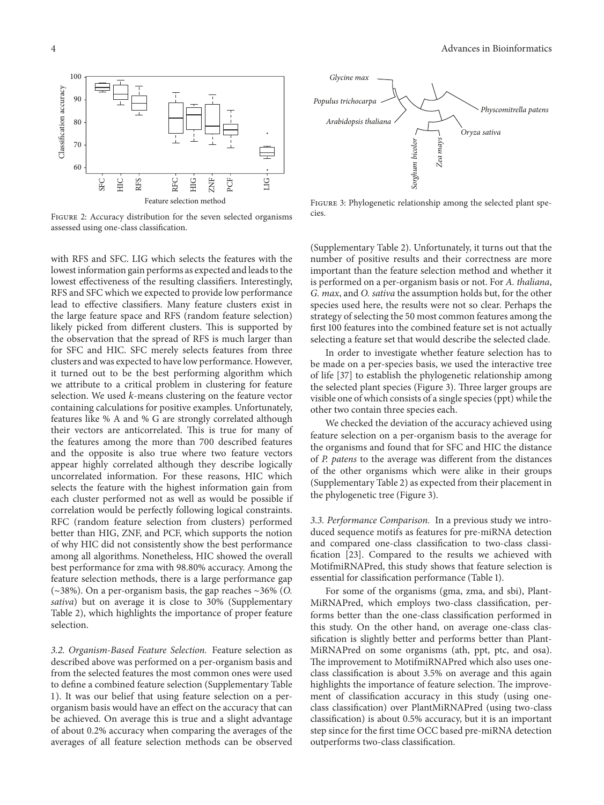

Figure 2: Accuracy distribution for the seven selected organisms assessed using one-class classification.

with RFS and SFC. LIG which selects the features with the lowest information gain performs as expected and leads to the lowest effectiveness of the resulting classifiers. Interestingly, RFS and SFC which we expected to provide low performance lead to effective classifiers. Many feature clusters exist in the large feature space and RFS (random feature selection) likely picked from different clusters. This is supported by the observation that the spread of RFS is much larger than for SFC and HIC. SFC merely selects features from three clusters and was expected to have low performance. However, it turned out to be the best performing algorithm which we attribute to a critical problem in clustering for feature selection. We used  $k$ -means clustering on the feature vector containing calculations for positive examples. Unfortunately, features like % A and % G are strongly correlated although their vectors are anticorrelated. This is true for many of the features among the more than 700 described features and the opposite is also true where two feature vectors appear highly correlated although they describe logically uncorrelated information. For these reasons, HIC which selects the feature with the highest information gain from each cluster performed not as well as would be possible if correlation would be perfectly following logical constraints. RFC (random feature selection from clusters) performed better than HIG, ZNF, and PCF, which supports the notion of why HIC did not consistently show the best performance among all algorithms. Nonetheless, HIC showed the overall best performance for zma with 98.80% accuracy. Among the feature selection methods, there is a large performance gap (∼38%). On a per-organism basis, the gap reaches ∼36% (*O. sativa*) but on average it is close to 30% (Supplementary Table 2), which highlights the importance of proper feature selection.

*3.2. Organism-Based Feature Selection.* Feature selection as described above was performed on a per-organism basis and from the selected features the most common ones were used to define a combined feature selection (Supplementary Table 1). It was our belief that using feature selection on a perorganism basis would have an effect on the accuracy that can be achieved. On average this is true and a slight advantage of about 0.2% accuracy when comparing the averages of the averages of all feature selection methods can be observed



FIGURE 3: Phylogenetic relationship among the selected plant species.

(Supplementary Table 2). Unfortunately, it turns out that the number of positive results and their correctness are more important than the feature selection method and whether it is performed on a per-organism basis or not. For *A. thaliana*, *G. max*, and *O. sativa* the assumption holds but, for the other species used here, the results were not so clear. Perhaps the strategy of selecting the 50 most common features among the first 100 features into the combined feature set is not actually selecting a feature set that would describe the selected clade.

In order to investigate whether feature selection has to be made on a per-species basis, we used the interactive tree of life [37] to establish the phylogenetic relationship among the selected plant species (Figure 3). Three larger groups are visible one of which consists of a single species (ppt) while the other two contain three species each.

We checked the deviation of the accuracy achieved using feature selection on a per-organism basis to the average for the organisms and found that for SFC and HIC the distance of *P. patens* to the average was different from the distances of the other organisms which were alike in their groups (Supplementary Table 2) as expected from their placement in the phylogenetic tree (Figure 3).

*3.3. Performance Comparison.* In a previous study we introduced sequence motifs as features for pre-miRNA detection and compared one-class classification to two-class classification [23]. Compared to the results we achieved with MotifmiRNAPred, this study shows that feature selection is essential for classification performance (Table 1).

For some of the organisms (gma, zma, and sbi), Plant-MiRNAPred, which employs two-class classification, performs better than the one-class classification performed in this study. On the other hand, on average one-class classification is slightly better and performs better than Plant-MiRNAPred on some organisms (ath, ppt, ptc, and osa). The improvement to MotifmiRNAPred which also uses oneclass classification is about 3.5% on average and this again highlights the importance of feature selection. The improvement of classification accuracy in this study (using oneclass classification) over PlantMiRNAPred (using two-class classification) is about 0.5% accuracy, but it is an important step since for the first time OCC based pre-miRNA detection outperforms two-class classification.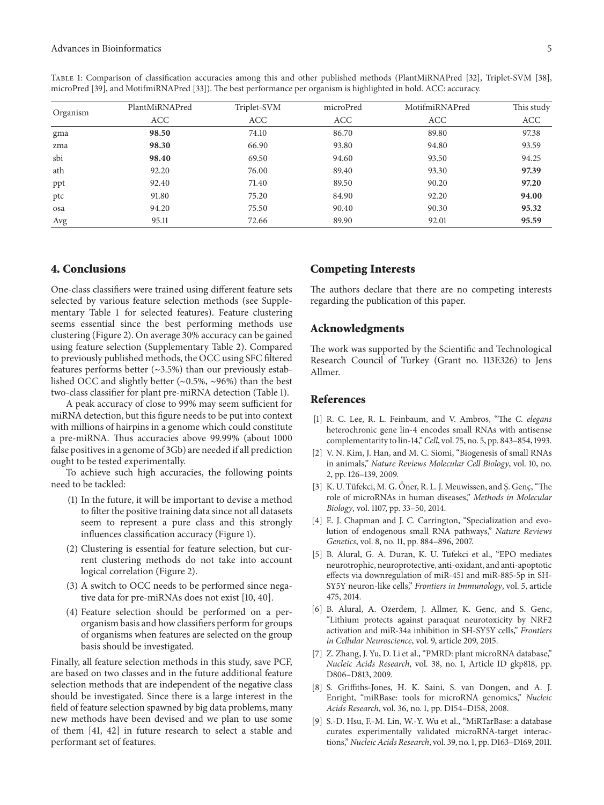| Organism |                |             |           |                |            |
|----------|----------------|-------------|-----------|----------------|------------|
|          | PlantMiRNAPred | Triplet-SVM | microPred | MotifmiRNAPred | This study |
|          | ACC            | <b>ACC</b>  | ACC       | ACC            | ACC        |
| gma      | 98.50          | 74.10       | 86.70     | 89.80          | 97.38      |
| zma      | 98.30          | 66.90       | 93.80     | 94.80          | 93.59      |
| sbi      | 98.40          | 69.50       | 94.60     | 93.50          | 94.25      |
| ath      | 92.20          | 76.00       | 89.40     | 93.30          | 97.39      |
| ppt      | 92.40          | 71.40       | 89.50     | 90.20          | 97.20      |
| ptc      | 91.80          | 75.20       | 84.90     | 92.20          | 94.00      |
| osa      | 94.20          | 75.50       | 90.40     | 90.30          | 95.32      |
| Avg      | 95.11          | 72.66       | 89.90     | 92.01          | 95.59      |

Table 1: Comparison of classification accuracies among this and other published methods (PlantMiRNAPred [32], Triplet-SVM [38], microPred [39], and MotifmiRNAPred [33]). The best performance per organism is highlighted in bold. ACC: accuracy.

#### **4. Conclusions**

One-class classifiers were trained using different feature sets selected by various feature selection methods (see Supplementary Table 1 for selected features). Feature clustering seems essential since the best performing methods use clustering (Figure 2). On average 30% accuracy can be gained using feature selection (Supplementary Table 2). Compared to previously published methods, the OCC using SFC filtered features performs better (∼3.5%) than our previously established OCC and slightly better (∼0.5%, ∼96%) than the best two-class classifier for plant pre-miRNA detection (Table 1).

A peak accuracy of close to 99% may seem sufficient for miRNA detection, but this figure needs to be put into context with millions of hairpins in a genome which could constitute a pre-miRNA. Thus accuracies above 99.99% (about 1000 false positives in a genome of 3Gb) are needed if all prediction ought to be tested experimentally.

To achieve such high accuracies, the following points need to be tackled:

- (1) In the future, it will be important to devise a method to filter the positive training data since not all datasets seem to represent a pure class and this strongly influences classification accuracy (Figure 1).
- (2) Clustering is essential for feature selection, but current clustering methods do not take into account logical correlation (Figure 2).
- (3) A switch to OCC needs to be performed since negative data for pre-miRNAs does not exist [10, 40].
- (4) Feature selection should be performed on a perorganism basis and how classifiers perform for groups of organisms when features are selected on the group basis should be investigated.

Finally, all feature selection methods in this study, save PCF, are based on two classes and in the future additional feature selection methods that are independent of the negative class should be investigated. Since there is a large interest in the field of feature selection spawned by big data problems, many new methods have been devised and we plan to use some of them [41, 42] in future research to select a stable and performant set of features.

#### **Competing Interests**

The authors declare that there are no competing interests regarding the publication of this paper.

#### **Acknowledgments**

The work was supported by the Scientific and Technological Research Council of Turkey (Grant no. 113E326) to Jens Allmer.

#### **References**

- [1] R. C. Lee, R. L. Feinbaum, and V. Ambros, "The *C. elegans* heterochronic gene lin-4 encodes small RNAs with antisense complementarity to lin-14,"*Cell*, vol. 75, no. 5, pp. 843–854, 1993.
- [2] V. N. Kim, J. Han, and M. C. Siomi, "Biogenesis of small RNAs in animals," *Nature Reviews Molecular Cell Biology*, vol. 10, no. 2, pp. 126–139, 2009.
- [3] K. U. Tüfekci, M. G. Öner, R. L. J. Meuwissen, and Ş. Genç, "The role of microRNAs in human diseases," *Methods in Molecular Biology*, vol. 1107, pp. 33–50, 2014.
- [4] E. J. Chapman and J. C. Carrington, "Specialization and evolution of endogenous small RNA pathways," *Nature Reviews Genetics*, vol. 8, no. 11, pp. 884–896, 2007.
- [5] B. Alural, G. A. Duran, K. U. Tufekci et al., "EPO mediates neurotrophic, neuroprotective, anti-oxidant, and anti-apoptotic effects via downregulation of miR-451 and miR-885-5p in SH-SY5Y neuron-like cells," *Frontiers in Immunology*, vol. 5, article 475, 2014.
- [6] B. Alural, A. Ozerdem, J. Allmer, K. Genc, and S. Genc, "Lithium protects against paraquat neurotoxicity by NRF2 activation and miR-34a inhibition in SH-SY5Y cells," *Frontiers in Cellular Neuroscience*, vol. 9, article 209, 2015.
- [7] Z. Zhang, J. Yu, D. Li et al., "PMRD: plant microRNA database," *Nucleic Acids Research*, vol. 38, no. 1, Article ID gkp818, pp. D806–D813, 2009.
- [8] S. Griffiths-Jones, H. K. Saini, S. van Dongen, and A. J. Enright, "miRBase: tools for microRNA genomics," *Nucleic Acids Research*, vol. 36, no. 1, pp. D154–D158, 2008.
- [9] S.-D. Hsu, F.-M. Lin, W.-Y. Wu et al., "MiRTarBase: a database curates experimentally validated microRNA-target interactions," *Nucleic Acids Research*, vol. 39, no. 1, pp. D163–D169, 2011.